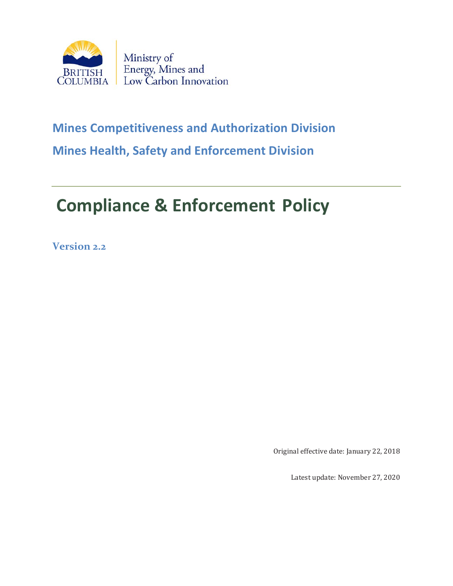

# **Mines Competitiveness and Authorization Division Mines Health, Safety and Enforcement Division**

# **Compliance & Enforcement Policy**

**Version 2.2**

Original effective date: January 22, 2018

Latest update: November 27, 2020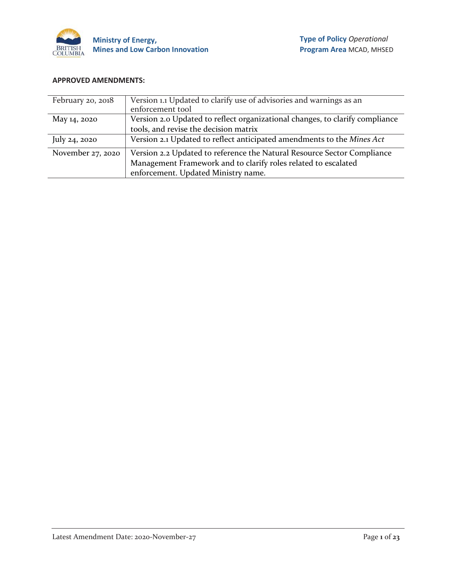

#### **APPROVED AMENDMENTS:**

| February 20, 2018 | Version 1.1 Updated to clarify use of advisories and warnings as an<br>enforcement tool                                                                                          |
|-------------------|----------------------------------------------------------------------------------------------------------------------------------------------------------------------------------|
| May 14, 2020      | Version 2.0 Updated to reflect organizational changes, to clarify compliance                                                                                                     |
|                   | tools, and revise the decision matrix                                                                                                                                            |
| July 24, 2020     | Version 2.1 Updated to reflect anticipated amendments to the Mines Act                                                                                                           |
| November 27, 2020 | Version 2.2 Updated to reference the Natural Resource Sector Compliance<br>Management Framework and to clarify roles related to escalated<br>enforcement. Updated Ministry name. |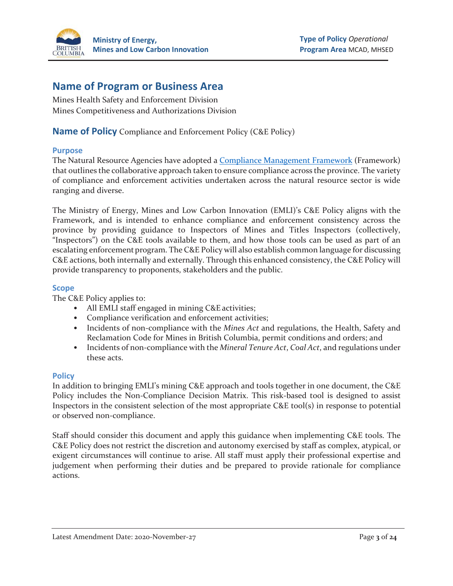

# **Name of Program or Business Area**

Mines Health Safety and Enforcement Division Mines Competitiveness and Authorizations Division

**Name of Policy** Compliance and Enforcement Policy (C&E Policy)

#### **Purpose**

The Natural Resource Agencies have adopted [a Compliance Management Framework](https://www2.gov.bc.ca/gov/content/environment/research-monitoring-reporting/reporting/environmental-enforcement-reporting/c-e-approach) (Framework) that outlines the collaborative approach taken to ensure compliance across the province. The variety of compliance and enforcement activities undertaken across the natural resource sector is wide ranging and diverse.

The Ministry of Energy, Mines and Low Carbon Innovation (EMLI)'s C&E Policy aligns with the Framework, and is intended to enhance compliance and enforcement consistency across the province by providing guidance to Inspectors of Mines and Titles Inspectors (collectively, "Inspectors") on the C&E tools available to them, and how those tools can be used as part of an escalating enforcement program. The C&E Policy will also establish common language for discussing C&E actions, both internally and externally. Through this enhanced consistency, the C&E Policy will provide transparency to proponents, stakeholders and the public.

#### **Scope**

The C&E Policy applies to:

- All EMLI staff engaged in mining C&E activities;
- Compliance verification and enforcement activities;
- Incidents of non-compliance with the *Mines Act* and regulations, the Health, Safety and Reclamation Code for Mines in British Columbia, permit conditions and orders; and
- Incidents of non-compliance with the *Mineral Tenure Act*, *Coal Act*, and regulations under these acts.

#### **Policy**

In addition to bringing EMLI's mining C&E approach and tools together in one document, the C&E Policy includes the Non-Compliance Decision Matrix. This risk-based tool is designed to assist Inspectors in the consistent selection of the most appropriate C&E tool(s) in response to potential or observed non-compliance.

Staff should consider this document and apply this guidance when implementing C&E tools. The C&E Policy does not restrict the discretion and autonomy exercised by staff as complex, atypical, or exigent circumstances will continue to arise. All staff must apply their professional expertise and judgement when performing their duties and be prepared to provide rationale for compliance actions.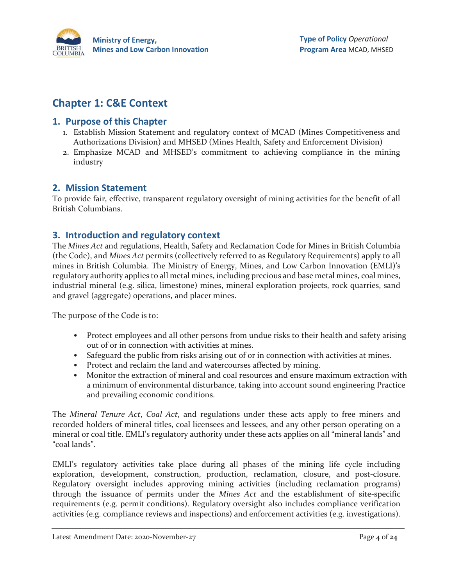

# **Chapter 1: C&E Context**

# **1. Purpose of this Chapter**

- 1. Establish Mission Statement and regulatory context of MCAD (Mines Competitiveness and Authorizations Division) and MHSED (Mines Health, Safety and Enforcement Division)
- 2. Emphasize MCAD and MHSED's commitment to achieving compliance in the mining industry

# **2. Mission Statement**

To provide fair, effective, transparent regulatory oversight of mining activities for the benefit of all British Columbians.

# **3. Introduction and regulatory context**

The *Mines Act* and regulations, Health, Safety and Reclamation Code for Mines in British Columbia (the Code), and *Mines Act* permits (collectively referred to as Regulatory Requirements) apply to all mines in British Columbia. The Ministry of Energy, Mines, and Low Carbon Innovation (EMLI)'s regulatory authority applies to all metal mines, including precious and base metal mines, coal mines, industrial mineral (e.g. silica, limestone) mines, mineral exploration projects, rock quarries, sand and gravel (aggregate) operations, and placer mines.

The purpose of the Code is to:

- Protect employees and all other persons from undue risks to their health and safety arising out of or in connection with activities at mines.
- Safeguard the public from risks arising out of or in connection with activities at mines.
- Protect and reclaim the land and watercourses affected by mining.
- Monitor the extraction of mineral and coal resources and ensure maximum extraction with a minimum of environmental disturbance, taking into account sound engineering Practice and prevailing economic conditions.

The *Mineral Tenure Act*, *Coal Act*, and regulations under these acts apply to free miners and recorded holders of mineral titles, coal licensees and lessees, and any other person operating on a mineral or coal title. EMLI's regulatory authority under these acts applies on all "mineral lands" and "coal lands".

EMLI's regulatory activities take place during all phases of the mining life cycle including exploration, development, construction, production, reclamation, closure, and post-closure. Regulatory oversight includes approving mining activities (including reclamation programs) through the issuance of permits under the *Mines Act* and the establishment of site-specific requirements (e.g. permit conditions). Regulatory oversight also includes compliance verification activities (e.g. compliance reviews and inspections) and enforcement activities (e.g. investigations).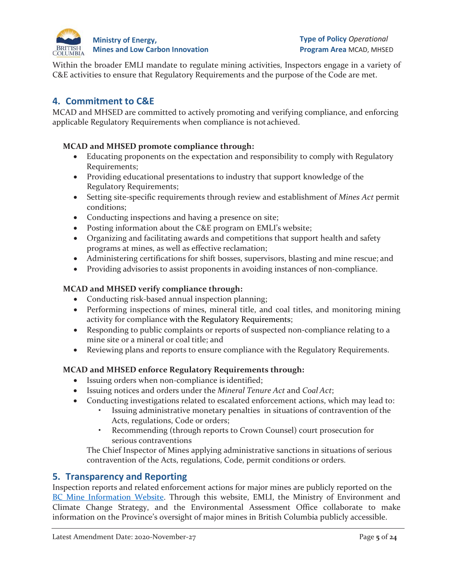

Within the broader EMLI mandate to regulate mining activities, Inspectors engage in a variety of C&E activities to ensure that Regulatory Requirements and the purpose of the Code are met.

# **4. Commitment to C&E**

MCAD and MHSED are committed to actively promoting and verifying compliance, and enforcing applicable Regulatory Requirements when compliance is not achieved.

## **MCAD and MHSED promote compliance through:**

- Educating proponents on the expectation and responsibility to comply with Regulatory Requirements;
- Providing educational presentations to industry that support knowledge of the Regulatory Requirements;
- Setting site-specific requirements through review and establishment of *Mines Act* permit conditions;
- Conducting inspections and having a presence on site;
- Posting information about the C&E program on EMLI's website;
- Organizing and facilitating awards and competitions that support health and safety programs at mines, as well as effective reclamation;
- Administering certifications for shift bosses, supervisors, blasting and mine rescue; and
- Providing advisories to assist proponents in avoiding instances of non-compliance.

# **MCAD and MHSED verify compliance through:**

- Conducting risk-based annual inspection planning;
- Performing inspections of mines, mineral title, and coal titles, and monitoring mining activity for compliance with the Regulatory Requirements;
- Responding to public complaints or reports of suspected non-compliance relating to a mine site or a mineral or coal title; and
- Reviewing plans and reports to ensure compliance with the Regulatory Requirements.

# **MCAD and MHSED enforce Regulatory Requirements through:**

- Issuing orders when non-compliance is identified;
- Issuing notices and orders under the *Mineral Tenure Act* and *Coal Act*;
- Conducting investigations related to escalated enforcement actions, which may lead to:
	- Issuing administrative monetary penalties in situations of contravention of the Acts, regulations, Code or orders;
	- Recommending (through reports to Crown Counsel) court prosecution for serious contraventions

The Chief Inspector of Mines applying administrative sanctions in situations of serious contravention of the Acts, regulations, Code, permit conditions or orders.

# **5. Transparency and Reporting**

Inspection reports and related enforcement actions for major mines are publicly reported on the [BC Mine Information Website.](https://mines.nrs.gov.bc.ca/) Through this website, EMLI, the Ministry of Environment and Climate Change Strategy, and the Environmental Assessment Office collaborate to make information on the Province's oversight of major mines in British Columbia publicly accessible.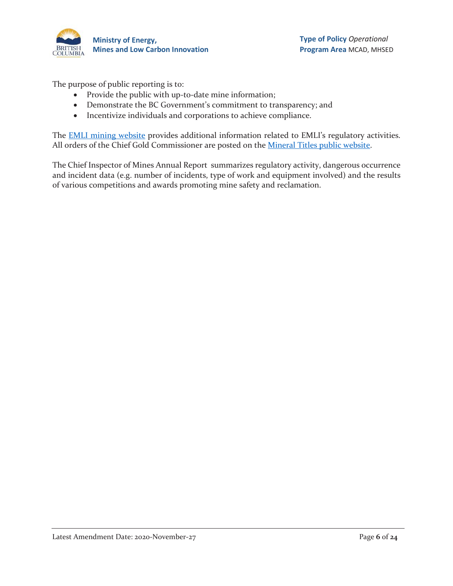

The purpose of public reporting is to:

- Provide the public with up-to-date mine information;
- Demonstrate the BC Government's commitment to transparency; and
- Incentivize individuals and corporations to achieve compliance.

The **EMLI** mining [website](https://www2.gov.bc.ca/gov/content/industry/mineral-exploration-mining) provides additional information related to EMLI's regulatory activities. All orders of the Chief Gold Commissioner are posted on the [Mineral Titles public website.](https://www2.gov.bc.ca/gov/content/industry/mineral-exploration-mining/mineral-titles)

The Chief Inspector of Mines Annual Report summarizes regulatory activity, dangerous occurrence and incident data (e.g. number of incidents, type of work and equipment involved) and the results of various competitions and awards promoting mine safety and reclamation.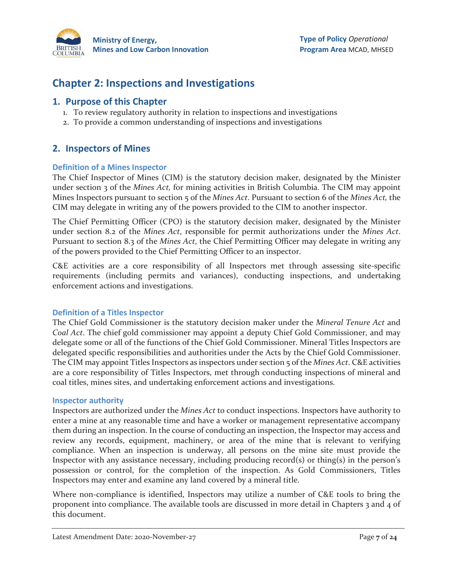

# **Chapter 2: Inspections and Investigations**

# **1. Purpose of this Chapter**

- 1. To review regulatory authority in relation to inspections and investigations
- 2. To provide a common understanding of inspections and investigations

# **2. Inspectors of Mines**

#### **Definition of a Mines Inspector**

The Chief Inspector of Mines (CIM) is the statutory decision maker, designated by the Minister under section 3 of the *Mines Act,* for mining activities in British Columbia. The CIM may appoint Mines Inspectors pursuant to section 5 of the *Mines Act*. Pursuant to section 6 of the *Mines Act,* the CIM may delegate in writing any of the powers provided to the CIM to another inspector.

The Chief Permitting Officer (CPO) is the statutory decision maker, designated by the Minister under section 8.2 of the *Mines Act*, responsible for permit authorizations under the *Mines Act*. Pursuant to section 8.3 of the *Mines Act*, the Chief Permitting Officer may delegate in writing any of the powers provided to the Chief Permitting Officer to an inspector.

C&E activities are a core responsibility of all Inspectors met through assessing site-specific requirements (including permits and variances), conducting inspections, and undertaking enforcement actions and investigations.

## **Definition of a Titles Inspector**

The Chief Gold Commissioner is the statutory decision maker under the *Mineral Tenure Act* and *Coal Act*. The chief gold commissioner may appoint a deputy Chief Gold Commissioner, and may delegate some or all of the functions of the Chief Gold Commissioner. Mineral Titles Inspectors are delegated specific responsibilities and authorities under the Acts by the Chief Gold Commissioner. The CIM may appoint Titles Inspectors as inspectors under section 5 of the *Mines Act*. C&E activities are a core responsibility of Titles Inspectors, met through conducting inspections of mineral and coal titles, mines sites, and undertaking enforcement actions and investigations.

#### **Inspector authority**

Inspectors are authorized under the *Mines Act* to conduct inspections. Inspectors have authority to enter a mine at any reasonable time and have a worker or management representative accompany them during an inspection. In the course of conducting an inspection, the Inspector may access and review any records, equipment, machinery, or area of the mine that is relevant to verifying compliance. When an inspection is underway, all persons on the mine site must provide the Inspector with any assistance necessary, including producing record(s) or thing(s) in the person's possession or control, for the completion of the inspection. As Gold Commissioners, Titles Inspectors may enter and examine any land covered by a mineral title.

Where non-compliance is identified, Inspectors may utilize a number of C&E tools to bring the proponent into compliance. The available tools are discussed in more detail in Chapters 3 and 4 of this document.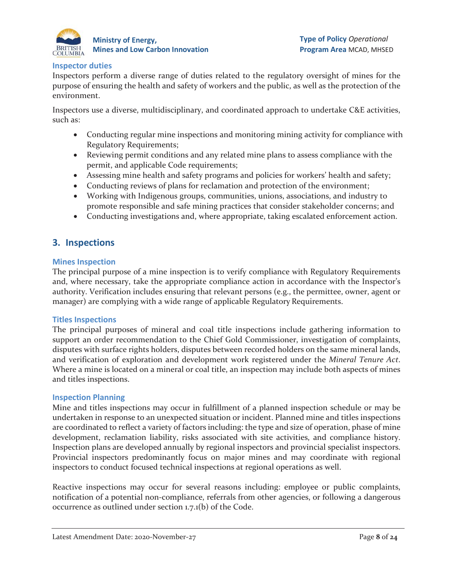

#### **Inspector duties**

Inspectors perform a diverse range of duties related to the regulatory oversight of mines for the purpose of ensuring the health and safety of workers and the public, as well as the protection of the environment.

Inspectors use a diverse, multidisciplinary, and coordinated approach to undertake C&E activities, such as:

- Conducting regular mine inspections and monitoring mining activity for compliance with Regulatory Requirements;
- Reviewing permit conditions and any related mine plans to assess compliance with the permit, and applicable Code requirements;
- Assessing mine health and safety programs and policies for workers' health and safety;
- Conducting reviews of plans for reclamation and protection of the environment;
- Working with Indigenous groups, communities, unions, associations, and industry to promote responsible and safe mining practices that consider stakeholder concerns; and
- Conducting investigations and, where appropriate, taking escalated enforcement action.

# **3. Inspections**

#### **Mines Inspection**

The principal purpose of a mine inspection is to verify compliance with Regulatory Requirements and, where necessary, take the appropriate compliance action in accordance with the Inspector's authority. Verification includes ensuring that relevant persons (e.g., the permittee, owner, agent or manager) are complying with a wide range of applicable Regulatory Requirements.

#### **Titles Inspections**

The principal purposes of mineral and coal title inspections include gathering information to support an order recommendation to the Chief Gold Commissioner, investigation of complaints, disputes with surface rights holders, disputes between recorded holders on the same mineral lands, and verification of exploration and development work registered under the *Mineral Tenure Act*. Where a mine is located on a mineral or coal title, an inspection may include both aspects of mines and titles inspections.

#### **Inspection Planning**

Mine and titles inspections may occur in fulfillment of a planned inspection schedule or may be undertaken in response to an unexpected situation or incident. Planned mine and titles inspections are coordinated to reflect a variety of factors including: the type and size of operation, phase of mine development, reclamation liability, risks associated with site activities, and compliance history. Inspection plans are developed annually by regional inspectors and provincial specialist inspectors. Provincial inspectors predominantly focus on major mines and may coordinate with regional inspectors to conduct focused technical inspections at regional operations as well.

Reactive inspections may occur for several reasons including: employee or public complaints, notification of a potential non-compliance, referrals from other agencies, or following a dangerous occurrence as outlined under section 1.7.1(b) of the Code.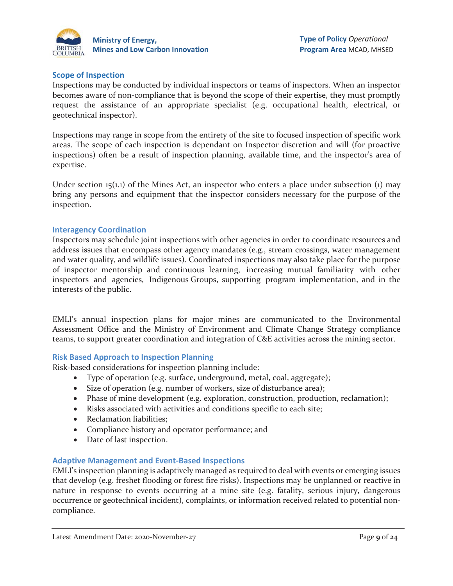

#### **Scope of Inspection**

Inspections may be conducted by individual inspectors or teams of inspectors. When an inspector becomes aware of non-compliance that is beyond the scope of their expertise, they must promptly request the assistance of an appropriate specialist (e.g. occupational health, electrical, or geotechnical inspector).

Inspections may range in scope from the entirety of the site to focused inspection of specific work areas. The scope of each inspection is dependant on Inspector discretion and will (for proactive inspections) often be a result of inspection planning, available time, and the inspector's area of expertise.

Under section  $15(1,1)$  of the Mines Act, an inspector who enters a place under subsection  $(1)$  may bring any persons and equipment that the inspector considers necessary for the purpose of the inspection.

#### **Interagency Coordination**

Inspectors may schedule joint inspections with other agencies in order to coordinate resources and address issues that encompass other agency mandates (e.g., stream crossings, water management and water quality, and wildlife issues). Coordinated inspections may also take place for the purpose of inspector mentorship and continuous learning, increasing mutual familiarity with other inspectors and agencies, Indigenous Groups, supporting program implementation, and in the interests of the public.

EMLI's annual inspection plans for major mines are communicated to the Environmental Assessment Office and the Ministry of Environment and Climate Change Strategy compliance teams, to support greater coordination and integration of C&E activities across the mining sector.

#### **Risk Based Approach to Inspection Planning**

Risk-based considerations for inspection planning include:

- Type of operation (e.g. surface, underground, metal, coal, aggregate);
- Size of operation (e.g. number of workers, size of disturbance area);
- Phase of mine development (e.g. exploration, construction, production, reclamation);
- Risks associated with activities and conditions specific to each site;
- Reclamation liabilities;
- Compliance history and operator performance; and
- Date of last inspection.

#### **Adaptive Management and Event-Based Inspections**

EMLI's inspection planning is adaptively managed as required to deal with events or emerging issues that develop (e.g. freshet flooding or forest fire risks). Inspections may be unplanned or reactive in nature in response to events occurring at a mine site (e.g. fatality, serious injury, dangerous occurrence or geotechnical incident), complaints, or information received related to potential noncompliance.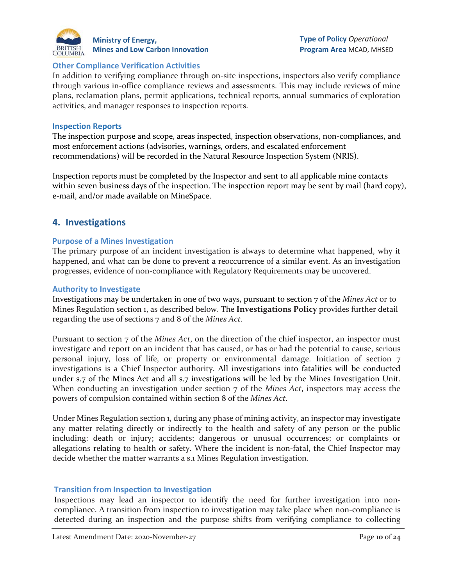

#### **Other Compliance Verification Activities**

In addition to verifying compliance through on-site inspections, inspectors also verify compliance through various in-office compliance reviews and assessments. This may include reviews of mine plans, reclamation plans, permit applications, technical reports, annual summaries of exploration activities, and manager responses to inspection reports.

#### **Inspection Reports**

The inspection purpose and scope, areas inspected, inspection observations, non-compliances, and most enforcement actions (advisories, warnings, orders, and escalated enforcement recommendations) will be recorded in the Natural Resource Inspection System (NRIS).

Inspection reports must be completed by the Inspector and sent to all applicable mine contacts within seven business days of the inspection. The inspection report may be sent by mail (hard copy), e-mail, and/or made available on MineSpace.

## **4. Investigations**

#### **Purpose of a Mines Investigation**

The primary purpose of an incident investigation is always to determine what happened, why it happened, and what can be done to prevent a reoccurrence of a similar event. As an investigation progresses, evidence of non-compliance with Regulatory Requirements may be uncovered.

#### **Authority to Investigate**

Investigations may be undertaken in one of two ways, pursuant to section 7 of the *Mines Act* or to Mines Regulation section 1, as described below. The **Investigations Policy** provides further detail regarding the use of sections 7 and 8 of the *Mines Act*.

Pursuant to section 7 of the *Mines Act*, on the direction of the chief inspector, an inspector must investigate and report on an incident that has caused, or has or had the potential to cause, serious personal injury, loss of life, or property or environmental damage. Initiation of section 7 investigations is a Chief Inspector authority. All investigations into fatalities will be conducted under s.7 of the Mines Act and all s.7 investigations will be led by the Mines Investigation Unit. When conducting an investigation under section 7 of the *Mines Act*, inspectors may access the powers of compulsion contained within section 8 of the *Mines Act*.

Under Mines Regulation section 1, during any phase of mining activity, an inspector may investigate any matter relating directly or indirectly to the health and safety of any person or the public including: death or injury; accidents; dangerous or unusual occurrences; or complaints or allegations relating to health or safety. Where the incident is non-fatal, the Chief Inspector may decide whether the matter warrants a s.1 Mines Regulation investigation.

#### **Transition from Inspection to Investigation**

Inspections may lead an inspector to identify the need for further investigation into noncompliance. A transition from inspection to investigation may take place when non-compliance is detected during an inspection and the purpose shifts from verifying compliance to collecting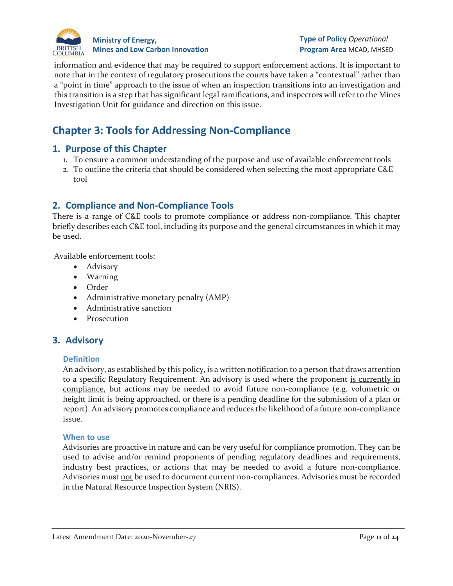

**Type of Policy** *Operational* **Program Area** MCAD, MHSED

information and evidence that may be required to support enforcement actions. It is important to note that in the context of regulatory prosecutions the courts have taken a "contextual" rather than a "point in time" approach to the issue of when an inspection transitions into an investigation and this transition is a step that has significant legal ramifications, and inspectors will refer to the Mines Investigation Unit for guidance and direction on this issue.

# **Chapter 3: Tools for Addressing Non-Compliance**

## **1. Purpose of this Chapter**

- 1. To ensure a common understanding of the purpose and use of available enforcementtools
- 2. To outline the criteria that should be considered when selecting the most appropriate C&E tool

## **2. Compliance and Non-Compliance Tools**

There is a range of C&E tools to promote compliance or address non-compliance. This chapter briefly describes each C&E tool, including its purpose and the general circumstances in which it may be used.

Available enforcement tools:

- Advisory
- Warning
- Order
- Administrative monetary penalty (AMP)
- Administrative sanction
- Prosecution

# **3. Advisory**

#### **Definition**

An advisory, as established by this policy, is a written notification to a person that draws attention to a specific Regulatory Requirement. An advisory is used where the proponent is currently in compliance, but actions may be needed to avoid future non-compliance (e.g. volumetric or height limit is being approached, or there is a pending deadline for the submission of a plan or report). An advisory promotes compliance and reduces the likelihood of a future non-compliance issue.

#### **When to use**

Advisories are proactive in nature and can be very useful for compliance promotion. They can be used to advise and/or remind proponents of pending regulatory deadlines and requirements, industry best practices, or actions that may be needed to avoid a future non-compliance. Advisories must not be used to document current non-compliances. Advisories must be recorded in the Natural Resource Inspection System (NRIS).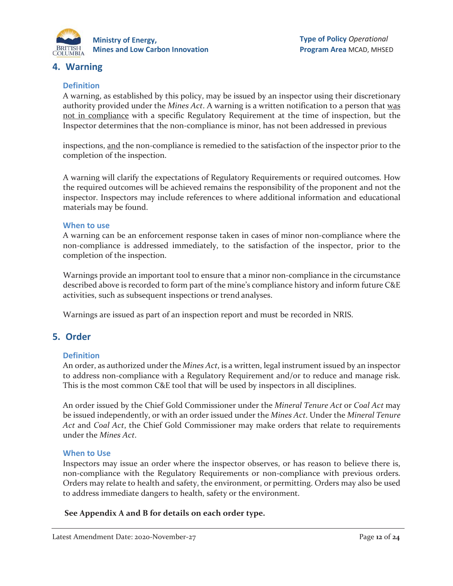

# **4. Warning**

#### **Definition**

A warning, as established by this policy, may be issued by an inspector using their discretionary authority provided under the *Mines Act*. A warning is a written notification to a person that was not in compliance with a specific Regulatory Requirement at the time of inspection, but the Inspector determines that the non-compliance is minor, has not been addressed in previous

inspections, and the non-compliance is remedied to the satisfaction of the inspector prior to the completion of the inspection.

A warning will clarify the expectations of Regulatory Requirements or required outcomes. How the required outcomes will be achieved remains the responsibility of the proponent and not the inspector. Inspectors may include references to where additional information and educational materials may be found.

#### **When to use**

A warning can be an enforcement response taken in cases of minor non-compliance where the non-compliance is addressed immediately, to the satisfaction of the inspector, prior to the completion of the inspection.

Warnings provide an important tool to ensure that a minor non-compliance in the circumstance described above is recorded to form part of the mine's compliance history and inform future C&E activities, such as subsequent inspections or trend analyses.

Warnings are issued as part of an inspection report and must be recorded in NRIS.

# **5. Order**

#### **Definition**

An order, as authorized under the *Mines Act*, is a written, legal instrument issued by an inspector to address non-compliance with a Regulatory Requirement and/or to reduce and manage risk. This is the most common C&E tool that will be used by inspectors in all disciplines.

An order issued by the Chief Gold Commissioner under the *Mineral Tenure Act* or *Coal Act* may be issued independently, or with an order issued under the *Mines Act*. Under the *Mineral Tenure Act* and *Coal Act*, the Chief Gold Commissioner may make orders that relate to requirements under the *Mines Act*.

#### **When to Use**

Inspectors may issue an order where the inspector observes, or has reason to believe there is, non-compliance with the Regulatory Requirements or non-compliance with previous orders. Orders may relate to health and safety, the environment, or permitting. Orders may also be used to address immediate dangers to health, safety or the environment.

#### **See Appendix A and B for details on each order type.**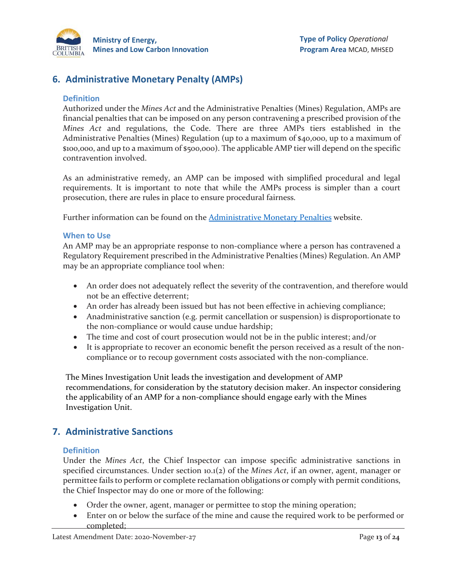

# **6. Administrative Monetary Penalty (AMPs)**

#### **Definition**

Authorized under the *Mines Act* and the Administrative Penalties (Mines) Regulation, AMPs are financial penalties that can be imposed on any person contravening a prescribed provision of the *Mines Act* and regulations, the Code. There are three AMPs tiers established in the Administrative Penalties (Mines) Regulation (up to a maximum of \$40,000, up to a maximum of \$100,000, and up to a maximum of \$500,000). The applicable AMP tier will depend on the specific contravention involved.

As an administrative remedy, an AMP can be imposed with simplified procedural and legal requirements. It is important to note that while the AMPs process is simpler than a court prosecution, there are rules in place to ensure procedural fairness.

Further information can be found on the **Administrative Monetary Penalties** website.

#### **When to Use**

An AMP may be an appropriate response to non-compliance where a person has contravened a Regulatory Requirement prescribed in the Administrative Penalties (Mines) Regulation. An AMP may be an appropriate compliance tool when:

- An order does not adequately reflect the severity of the contravention, and therefore would not be an effective deterrent;
- An order has already been issued but has not been effective in achieving compliance;
- Anadministrative sanction (e.g. permit cancellation or suspension) is disproportionate to the non-compliance or would cause undue hardship;
- The time and cost of court prosecution would not be in the public interest; and/or
- It is appropriate to recover an economic benefit the person received as a result of the noncompliance or to recoup government costs associated with the non-compliance.

The Mines Investigation Unit leads the investigation and development of AMP recommendations, for consideration by the statutory decision maker. An inspector considering the applicability of an AMP for a non-compliance should engage early with the Mines Investigation Unit.

# **7. Administrative Sanctions**

#### **Definition**

Under the *Mines Act*, the Chief Inspector can impose specific administrative sanctions in specified circumstances. Under section 10.1(2) of the *Mines Act*, if an owner, agent, manager or permittee fails to perform or complete reclamation obligations or comply with permit conditions, the Chief Inspector may do one or more of the following:

- Order the owner, agent, manager or permittee to stop the mining operation;
- Enter on or below the surface of the mine and cause the required work to be performed or completed;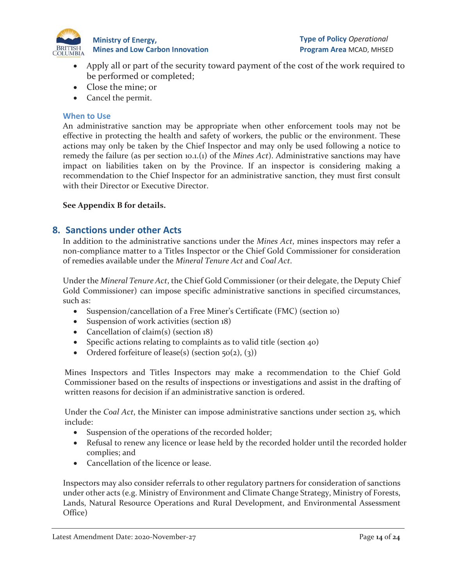

- Apply all or part of the security toward payment of the cost of the work required to be performed or completed;
- Close the mine; or
- Cancel the permit.

#### **When to Use**

An administrative sanction may be appropriate when other enforcement tools may not be effective in protecting the health and safety of workers, the public or the environment. These actions may only be taken by the Chief Inspector and may only be used following a notice to remedy the failure (as per section 10.1.(1) of the *Mines Act*). Administrative sanctions may have impact on liabilities taken on by the Province. If an inspector is considering making a recommendation to the Chief Inspector for an administrative sanction, they must first consult with their Director or Executive Director.

#### **See Appendix B for details.**

## **8. Sanctions under other Acts**

In addition to the administrative sanctions under the *Mines Act*, mines inspectors may refer a non-compliance matter to a Titles Inspector or the Chief Gold Commissioner for consideration of remedies available under the *Mineral Tenure Act* and *Coal Act*.

Under the *Mineral Tenure Act*, the Chief Gold Commissioner (or their delegate, the Deputy Chief Gold Commissioner) can impose specific administrative sanctions in specified circumstances, such as:

- Suspension/cancellation of a Free Miner's Certificate (FMC) (section 10)
- Suspension of work activities (section 18)
- Cancellation of claim(s) (section 18)
- Specific actions relating to complaints as to valid title (section 40)
- Ordered forfeiture of lease(s) (section  $50(2)$ , (3))

Mines Inspectors and Titles Inspectors may make a recommendation to the Chief Gold Commissioner based on the results of inspections or investigations and assist in the drafting of written reasons for decision if an administrative sanction is ordered.

Under the *Coal Act*, the Minister can impose administrative sanctions under section 25, which include:

- Suspension of the operations of the recorded holder;
- Refusal to renew any licence or lease held by the recorded holder until the recorded holder complies; and
- Cancellation of the licence or lease.

Inspectors may also consider referrals to other regulatory partners for consideration of sanctions under other acts (e.g. Ministry of Environment and Climate Change Strategy, Ministry of Forests, Lands, Natural Resource Operations and Rural Development, and Environmental Assessment Office)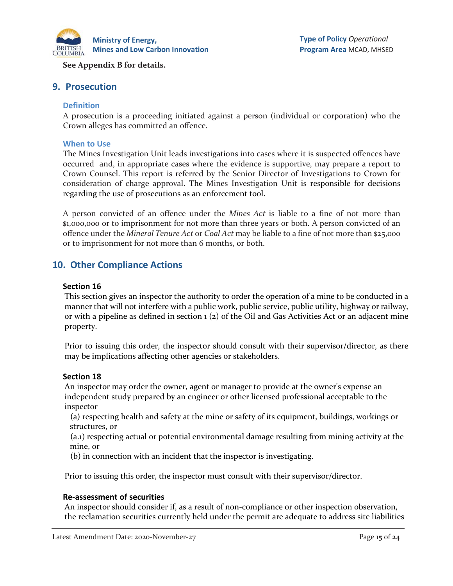

#### **See Appendix B for details.**

#### **9. Prosecution**

#### **Definition**

A prosecution is a proceeding initiated against a person (individual or corporation) who the Crown alleges has committed an offence.

#### **When to Use**

The Mines Investigation Unit leads investigations into cases where it is suspected offences have occurred and, in appropriate cases where the evidence is supportive, may prepare a report to Crown Counsel. This report is referred by the Senior Director of Investigations to Crown for consideration of charge approval. The Mines Investigation Unit is responsible for decisions regarding the use of prosecutions as an enforcement tool.

A person convicted of an offence under the *Mines Act* is liable to a fine of not more than \$1,000,000 or to imprisonment for not more than three years or both. A person convicted of an offence under the *Mineral Tenure Act* or *Coal Act* may be liable to a fine of not more than \$25,000 or to imprisonment for not more than 6 months, or both.

## **10. Other Compliance Actions**

#### **Section 16**

This section gives an inspector the authority to order the operation of a mine to be conducted in a manner that will not interfere with a public work, public service, public utility, highway or railway, or with a pipeline as defined in section 1 (2) of the Oil and Gas Activities Act or an adjacent mine property.

Prior to issuing this order, the inspector should consult with their supervisor/director, as there may be implications affecting other agencies or stakeholders.

#### **Section 18**

An inspector may order the owner, agent or manager to provide at the owner's expense an independent study prepared by an engineer or other licensed professional acceptable to the inspector

(a) respecting health and safety at the mine or safety of its equipment, buildings, workings or structures, or

(a.1) respecting actual or potential environmental damage resulting from mining activity at the mine, or

(b) in connection with an incident that the inspector is investigating.

Prior to issuing this order, the inspector must consult with their supervisor/director.

#### **Re-assessment of securities**

An inspector should consider if, as a result of non-compliance or other inspection observation, the reclamation securities currently held under the permit are adequate to address site liabilities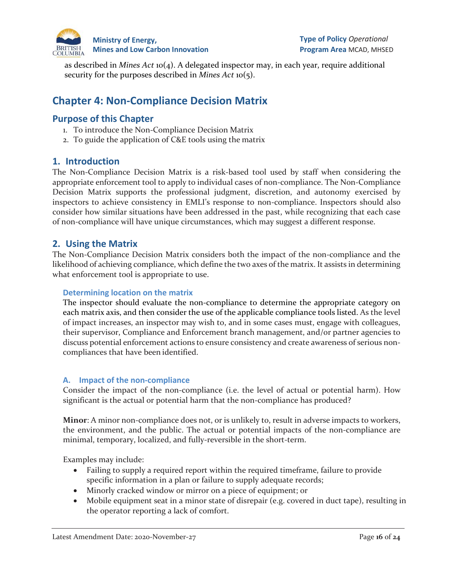

as described in *Mines Act* 10(4). A delegated inspector may, in each year, require additional security for the purposes described in *Mines Act* 10(5).

# **Chapter 4: Non-Compliance Decision Matrix**

# **Purpose of this Chapter**

- 1. To introduce the Non-Compliance Decision Matrix
- 2. To guide the application of C&E tools using the matrix

## **1. Introduction**

The Non-Compliance Decision Matrix is a risk-based tool used by staff when considering the appropriate enforcement tool to apply to individual cases of non-compliance. The Non-Compliance Decision Matrix supports the professional judgment, discretion, and autonomy exercised by inspectors to achieve consistency in EMLI's response to non-compliance. Inspectors should also consider how similar situations have been addressed in the past, while recognizing that each case of non-compliance will have unique circumstances, which may suggest a different response.

## **2. Using the Matrix**

The Non-Compliance Decision Matrix considers both the impact of the non-compliance and the likelihood of achieving compliance, which define the two axes of the matrix. It assists in determining what enforcement tool is appropriate to use.

#### **Determining location on the matrix**

The inspector should evaluate the non-compliance to determine the appropriate category on each matrix axis, and then consider the use of the applicable compliance tools listed. As the level of impact increases, an inspector may wish to, and in some cases must, engage with colleagues, their supervisor, Compliance and Enforcement branch management, and/or partner agencies to discuss potential enforcement actions to ensure consistency and create awareness of serious noncompliances that have been identified.

#### **A. Impact of the non-compliance**

Consider the impact of the non-compliance (i.e. the level of actual or potential harm). How significant is the actual or potential harm that the non-compliance has produced?

**Minor**: A minor non-compliance does not, or is unlikely to, result in adverse impacts to workers, the environment, and the public. The actual or potential impacts of the non-compliance are minimal, temporary, localized, and fully-reversible in the short-term.

Examples may include:

- Failing to supply a required report within the required timeframe, failure to provide specific information in a plan or failure to supply adequate records;
- Minorly cracked window or mirror on a piece of equipment; or
- Mobile equipment seat in a minor state of disrepair (e.g. covered in duct tape), resulting in the operator reporting a lack of comfort.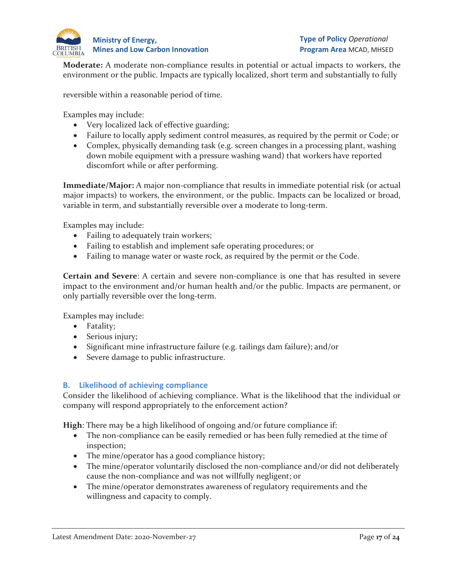

**Moderate:** A moderate non-compliance results in potential or actual impacts to workers, the environment or the public. Impacts are typically localized, short term and substantially to fully

reversible within a reasonable period of time.

Examples may include:

- Very localized lack of effective guarding;
- Failure to locally apply sediment control measures, as required by the permit or Code; or
- Complex, physically demanding task (e.g. screen changes in a processing plant, washing down mobile equipment with a pressure washing wand) that workers have reported discomfort while or after performing.

**Immediate/Major:** A major non-compliance that results in immediate potential risk (or actual major impacts) to workers, the environment, or the public. Impacts can be localized or broad, variable in term, and substantially reversible over a moderate to long-term.

Examples may include:

- Failing to adequately train workers;
- Failing to establish and implement safe operating procedures; or
- Failing to manage water or waste rock, as required by the permit or the Code.

**Certain and Severe**: A certain and severe non-compliance is one that has resulted in severe impact to the environment and/or human health and/or the public. Impacts are permanent, or only partially reversible over the long-term.

Examples may include:

- Fatality;
- Serious injury;
- Significant mine infrastructure failure (e.g. tailings dam failure); and/or
- Severe damage to public infrastructure.

#### **B. Likelihood of achieving compliance**

Consider the likelihood of achieving compliance. What is the likelihood that the individual or company will respond appropriately to the enforcement action?

**High**: There may be a high likelihood of ongoing and/or future compliance if:

- The non-compliance can be easily remedied or has been fully remedied at the time of inspection;
- The mine/operator has a good compliance history;
- The mine/operator voluntarily disclosed the non-compliance and/or did not deliberately cause the non-compliance and was not willfully negligent; or
- The mine/operator demonstrates awareness of regulatory requirements and the willingness and capacity to comply.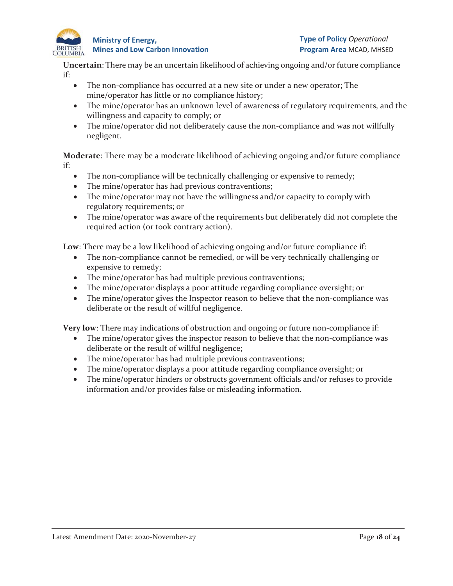

**Type of Policy** *Operational* **Program Area** MCAD, MHSED

**Uncertain**: There may be an uncertain likelihood of achieving ongoing and/or future compliance if:

- The non-compliance has occurred at a new site or under a new operator; The mine/operator has little or no compliance history;
- The mine/operator has an unknown level of awareness of regulatory requirements, and the willingness and capacity to comply; or
- The mine/operator did not deliberately cause the non-compliance and was not willfully negligent.

**Moderate**: There may be a moderate likelihood of achieving ongoing and/or future compliance if:

- The non-compliance will be technically challenging or expensive to remedy;
- The mine/operator has had previous contraventions;
- The mine/operator may not have the willingness and/or capacity to comply with regulatory requirements; or
- The mine/operator was aware of the requirements but deliberately did not complete the required action (or took contrary action).

**Low**: There may be a low likelihood of achieving ongoing and/or future compliance if:

- The non-compliance cannot be remedied, or will be very technically challenging or expensive to remedy;
- The mine/operator has had multiple previous contraventions;
- The mine/operator displays a poor attitude regarding compliance oversight; or
- The mine/operator gives the Inspector reason to believe that the non-compliance was deliberate or the result of willful negligence.

**Very low**: There may indications of obstruction and ongoing or future non-compliance if:

- The mine/operator gives the inspector reason to believe that the non-compliance was deliberate or the result of willful negligence;
- The mine/operator has had multiple previous contraventions;
- The mine/operator displays a poor attitude regarding compliance oversight; or
- The mine/operator hinders or obstructs government officials and/or refuses to provide information and/or provides false or misleading information.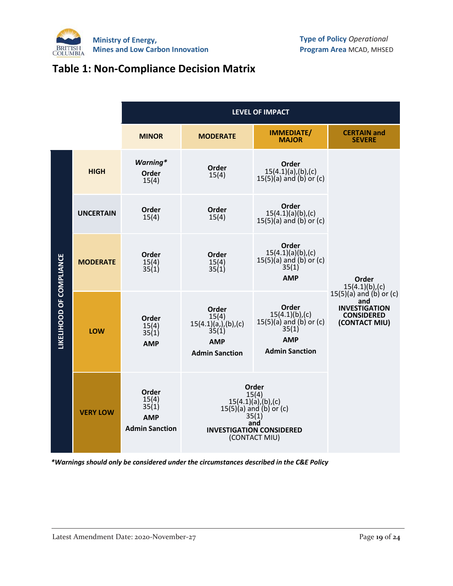

# **Table 1: Non-Compliance Decision Matrix**

|                          |                  | <b>LEVEL OF IMPACT</b>                                         |                                                                                                                                                |                                                                                                              |                                                                                                    |
|--------------------------|------------------|----------------------------------------------------------------|------------------------------------------------------------------------------------------------------------------------------------------------|--------------------------------------------------------------------------------------------------------------|----------------------------------------------------------------------------------------------------|
|                          |                  | <b>MINOR</b>                                                   | <b>MODERATE</b>                                                                                                                                | <b>IMMEDIATE/</b><br><b>MAJOR</b>                                                                            | <b>CERTAIN and</b><br><b>SEVERE</b>                                                                |
|                          | <b>HIGH</b>      | <b>Warning*</b><br>Order<br>15(4)                              | Order<br>15(4)                                                                                                                                 | Order<br>$15(4.1)(a)$ , (b), (c)<br>$15(5)(a)$ and $(b)$ or $(c)$                                            |                                                                                                    |
|                          | <b>UNCERTAIN</b> | Order<br>15(4)                                                 | Order<br>15(4)                                                                                                                                 | Order<br>15(4.1)(a)(b),(c)<br>$15(5)(a)$ and $(b)$ or $(c)$                                                  |                                                                                                    |
| LIKELIHOOD OF COMPLIANCE | <b>MODERATE</b>  | Order<br>15(4)<br>35(1)                                        | Order<br>15(4)<br>35(1)                                                                                                                        | Order<br>15(4.1)(a)(b),(c)<br>$15(5)(a)$ and $(b)$ or $(c)$<br>35(1)<br><b>AMP</b>                           | Order<br>$15(4.1)(b)$ , (c)                                                                        |
|                          | <b>LOW</b>       | Order<br>15(4)<br>35(1)<br><b>AMP</b>                          | Order<br>15(4)<br>$15(4.1)(a)$ , (b), (c)<br>35(1)<br><b>AMP</b><br><b>Admin Sanction</b>                                                      | Order<br>$15(4.1)(b)$ , (c)<br>$15(5)(a)$ and $(b)$ or $(c)$<br>35(1)<br><b>AMP</b><br><b>Admin Sanction</b> | $15(5)(a)$ and $(b)$ or $(c)$<br>and<br><b>INVESTIGATION</b><br><b>CONSIDERED</b><br>(CONTACT MIU) |
|                          | <b>VERY LOW</b>  | Order<br>15(4)<br>35(1)<br><b>AMP</b><br><b>Admin Sanction</b> | Order<br>15(4)<br>$15(4.1)(a)$ , (b), (c)<br>$15(5)(a)$ and $(b)$ or $(c)$<br>35(1)<br>and<br><b>INVESTIGATION CONSIDERED</b><br>(CONTACT MIU) |                                                                                                              |                                                                                                    |

*\*Warnings should only be considered under the circumstances described in the C&E Policy*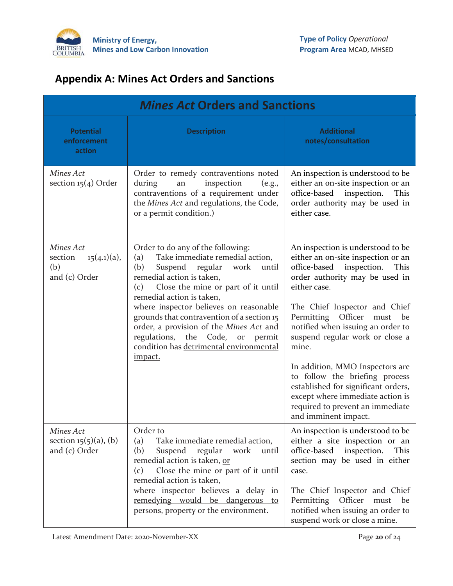

# **Appendix A: Mines Act Orders and Sanctions**

| <b>Mines Act Orders and Sanctions</b>                          |                                                                                                                                                                                                                                                                                                                                                                                                                                                                                         |                                                                                                                                                                                                                                                                                                                                                                                                                                                                                                                                    |  |
|----------------------------------------------------------------|-----------------------------------------------------------------------------------------------------------------------------------------------------------------------------------------------------------------------------------------------------------------------------------------------------------------------------------------------------------------------------------------------------------------------------------------------------------------------------------------|------------------------------------------------------------------------------------------------------------------------------------------------------------------------------------------------------------------------------------------------------------------------------------------------------------------------------------------------------------------------------------------------------------------------------------------------------------------------------------------------------------------------------------|--|
| <b>Potential</b><br>enforcement<br>action                      | <b>Description</b>                                                                                                                                                                                                                                                                                                                                                                                                                                                                      | <b>Additional</b><br>notes/consultation                                                                                                                                                                                                                                                                                                                                                                                                                                                                                            |  |
| Mines Act<br>section $15(4)$ Order                             | Order to remedy contraventions noted<br>inspection<br>during<br>(e.g.,<br>an<br>contraventions of a requirement under<br>the Mines Act and regulations, the Code,<br>or a permit condition.)                                                                                                                                                                                                                                                                                            | An inspection is understood to be<br>either an on-site inspection or an<br>office-based<br>inspection.<br>This<br>order authority may be used in<br>either case.                                                                                                                                                                                                                                                                                                                                                                   |  |
| Mines Act<br>$15(4.1)(a)$ ,<br>section<br>(b)<br>and (c) Order | Order to do any of the following:<br>Take immediate remedial action,<br>(a)<br>(b)<br>Suspend<br>regular<br>work<br>until<br>remedial action is taken,<br>Close the mine or part of it until<br>(c)<br>remedial action is taken,<br>where inspector believes on reasonable<br>grounds that contravention of a section 15<br>order, a provision of the Mines Act and<br>regulations,<br>Code,<br>the<br>permit<br>$_{\mathrm{or}}$<br>condition has detrimental environmental<br>impact. | An inspection is understood to be<br>either an on-site inspection or an<br>office-based<br>inspection.<br>This<br>order authority may be used in<br>either case.<br>The Chief Inspector and Chief<br>Permitting Officer<br>must<br>be<br>notified when issuing an order to<br>suspend regular work or close a<br>mine.<br>In addition, MMO Inspectors are<br>to follow the briefing process<br>established for significant orders,<br>except where immediate action is<br>required to prevent an immediate<br>and imminent impact. |  |
| Mines Act<br>section $15(5)(a)$ , (b)<br>and (c) Order         | Order to<br>(a)<br>Take immediate remedial action,<br>(b)<br>Suspend regular work<br>until<br>remedial action is taken, or<br>Close the mine or part of it until<br>(c)<br>remedial action is taken,<br>where inspector believes a delay in<br>remedying would be dangerous to<br>persons, property or the environment.                                                                                                                                                                 | An inspection is understood to be<br>either a site inspection or an<br>office-based<br>inspection.<br>This<br>section may be used in either<br>case.<br>The Chief Inspector and Chief<br>Permitting Officer<br>must<br>be<br>notified when issuing an order to<br>suspend work or close a mine.                                                                                                                                                                                                                                    |  |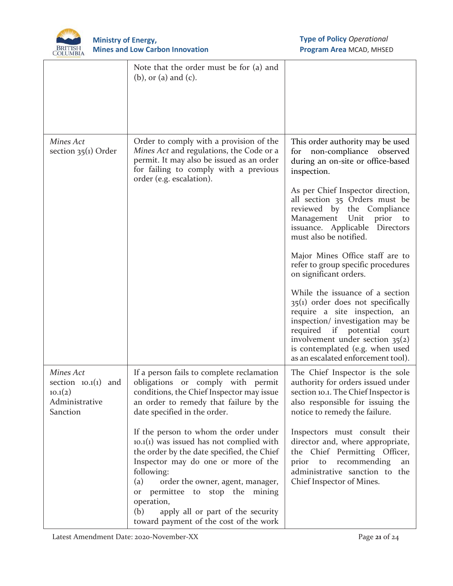

|                                                                             | Note that the order must be for (a) and<br>$(b)$ , or $(a)$ and $(c)$ .                                                                                                                                                                                                                                                                                                              |                                                                                                                                                                                                                                                                                             |
|-----------------------------------------------------------------------------|--------------------------------------------------------------------------------------------------------------------------------------------------------------------------------------------------------------------------------------------------------------------------------------------------------------------------------------------------------------------------------------|---------------------------------------------------------------------------------------------------------------------------------------------------------------------------------------------------------------------------------------------------------------------------------------------|
| Mines Act<br>section $35(1)$ Order                                          | Order to comply with a provision of the<br>Mines Act and regulations, the Code or a<br>permit. It may also be issued as an order<br>for failing to comply with a previous<br>order (e.g. escalation).                                                                                                                                                                                | This order authority may be used<br>non-compliance observed<br>for<br>during an on-site or office-based<br>inspection.<br>As per Chief Inspector direction,                                                                                                                                 |
|                                                                             |                                                                                                                                                                                                                                                                                                                                                                                      | all section 35 Orders must be<br>reviewed by the Compliance<br>Management Unit prior<br>to<br>issuance. Applicable Directors<br>must also be notified.                                                                                                                                      |
|                                                                             |                                                                                                                                                                                                                                                                                                                                                                                      | Major Mines Office staff are to<br>refer to group specific procedures<br>on significant orders.                                                                                                                                                                                             |
|                                                                             |                                                                                                                                                                                                                                                                                                                                                                                      | While the issuance of a section<br>$35(i)$ order does not specifically<br>require a site inspection, an<br>inspection/ investigation may be<br>required if potential<br>court<br>involvement under section $35(2)$<br>is contemplated (e.g. when used<br>as an escalated enforcement tool). |
| Mines Act<br>section $10.1(1)$ and<br>10.1(2)<br>Administrative<br>Sanction | If a person fails to complete reclamation<br>obligations or comply with permit<br>conditions, the Chief Inspector may issue<br>an order to remedy that failure by the<br>date specified in the order.                                                                                                                                                                                | The Chief Inspector is the sole<br>authority for orders issued under<br>section 10.1. The Chief Inspector is<br>also responsible for issuing the<br>notice to remedy the failure.                                                                                                           |
|                                                                             | If the person to whom the order under<br>$10.1(1)$ was issued has not complied with<br>the order by the date specified, the Chief<br>Inspector may do one or more of the<br>following:<br>(a)<br>order the owner, agent, manager,<br>permittee to stop the mining<br>$\hbox{or}$<br>operation,<br>(b)<br>apply all or part of the security<br>toward payment of the cost of the work | Inspectors must consult their<br>director and, where appropriate,<br>the Chief Permitting Officer,<br>recommending<br>prior<br>to<br>an<br>administrative sanction to the<br>Chief Inspector of Mines.                                                                                      |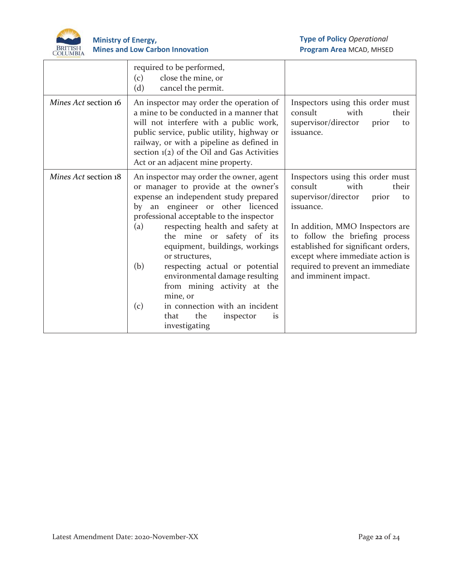

|                      | required to be performed,<br>close the mine, or<br>(c)<br>(d)<br>cancel the permit.                                                                                                                                                                                                                                                                                                                                                                                                                                                                      |                                                                                                                                                                                                                                                                                                                             |
|----------------------|----------------------------------------------------------------------------------------------------------------------------------------------------------------------------------------------------------------------------------------------------------------------------------------------------------------------------------------------------------------------------------------------------------------------------------------------------------------------------------------------------------------------------------------------------------|-----------------------------------------------------------------------------------------------------------------------------------------------------------------------------------------------------------------------------------------------------------------------------------------------------------------------------|
| Mines Act section 16 | An inspector may order the operation of<br>a mine to be conducted in a manner that<br>will not interfere with a public work,<br>public service, public utility, highway or<br>railway, or with a pipeline as defined in<br>section $1(2)$ of the Oil and Gas Activities<br>Act or an adjacent mine property.                                                                                                                                                                                                                                             | Inspectors using this order must<br>consult<br>with<br>their<br>supervisor/director<br>prior<br>to<br>issuance.                                                                                                                                                                                                             |
| Mines Act section 18 | An inspector may order the owner, agent<br>or manager to provide at the owner's<br>expense an independent study prepared<br>an engineer or other licenced<br>by<br>professional acceptable to the inspector<br>respecting health and safety at<br>(a)<br>the mine or safety of its<br>equipment, buildings, workings<br>or structures,<br>(b)<br>respecting actual or potential<br>environmental damage resulting<br>from mining activity at the<br>mine, or<br>in connection with an incident<br>(c)<br>that<br>the<br>inspector<br>is<br>investigating | Inspectors using this order must<br>consult<br>with<br>their<br>supervisor/director<br>prior<br>to<br>issuance.<br>In addition, MMO Inspectors are<br>to follow the briefing process<br>established for significant orders,<br>except where immediate action is<br>required to prevent an immediate<br>and imminent impact. |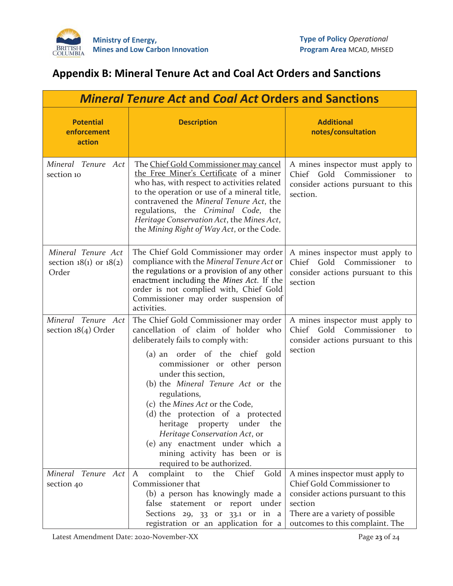

# **Appendix B: Mineral Tenure Act and Coal Act Orders and Sanctions**

| <b>Mineral Tenure Act and Coal Act Orders and Sanctions</b> |                                                                                                                                                                                                                                                                                                                                                                                                                                                                                                            |                                                                                                                                                                                     |  |
|-------------------------------------------------------------|------------------------------------------------------------------------------------------------------------------------------------------------------------------------------------------------------------------------------------------------------------------------------------------------------------------------------------------------------------------------------------------------------------------------------------------------------------------------------------------------------------|-------------------------------------------------------------------------------------------------------------------------------------------------------------------------------------|--|
| <b>Potential</b><br>enforcement<br>action                   | <b>Description</b>                                                                                                                                                                                                                                                                                                                                                                                                                                                                                         | <b>Additional</b><br>notes/consultation                                                                                                                                             |  |
| Mineral Tenure Act<br>section 10                            | The Chief Gold Commissioner may cancel<br>the Free Miner's Certificate of a miner<br>who has, with respect to activities related<br>to the operation or use of a mineral title,<br>contravened the Mineral Tenure Act, the<br>regulations, the Criminal Code, the<br>Heritage Conservation Act, the Mines Act,<br>the Mining Right of Way Act, or the Code.                                                                                                                                                | A mines inspector must apply to<br>Chief Gold Commissioner to<br>consider actions pursuant to this<br>section.                                                                      |  |
| Mineral Tenure Act<br>section $18(1)$ or $18(2)$<br>Order   | The Chief Gold Commissioner may order<br>compliance with the Mineral Tenure Act or<br>the regulations or a provision of any other<br>enactment including the Mines Act. If the<br>order is not complied with, Chief Gold<br>Commissioner may order suspension of<br>activities.                                                                                                                                                                                                                            | A mines inspector must apply to<br>Chief Gold Commissioner to<br>consider actions pursuant to this<br>section                                                                       |  |
| Mineral Tenure Act<br>section $18(4)$ Order                 | The Chief Gold Commissioner may order<br>cancellation of claim of holder who<br>deliberately fails to comply with:<br>(a) an order of the chief gold<br>commissioner or other person<br>under this section,<br>(b) the Mineral Tenure Act or the<br>regulations,<br>(c) the Mines Act or the Code,<br>(d) the protection of a protected<br>heritage property under the<br>Heritage Conservation Act, or<br>(e) any enactment under which a<br>mining activity has been or is<br>required to be authorized. | A mines inspector must apply to<br>Chief Gold Commissioner<br>to<br>consider actions pursuant to this<br>section                                                                    |  |
| Mineral Tenure Act<br>section 40                            | Gold<br>complaint<br>Chief<br>A<br>to<br>the<br>Commissioner that<br>(b) a person has knowingly made a<br>false statement<br>report<br>under<br>$_{\mathrm{or}}$<br>Sections $29, 33$ or $33.1$ or in a<br>registration or an application for a                                                                                                                                                                                                                                                            | A mines inspector must apply to<br>Chief Gold Commissioner to<br>consider actions pursuant to this<br>section<br>There are a variety of possible<br>outcomes to this complaint. The |  |